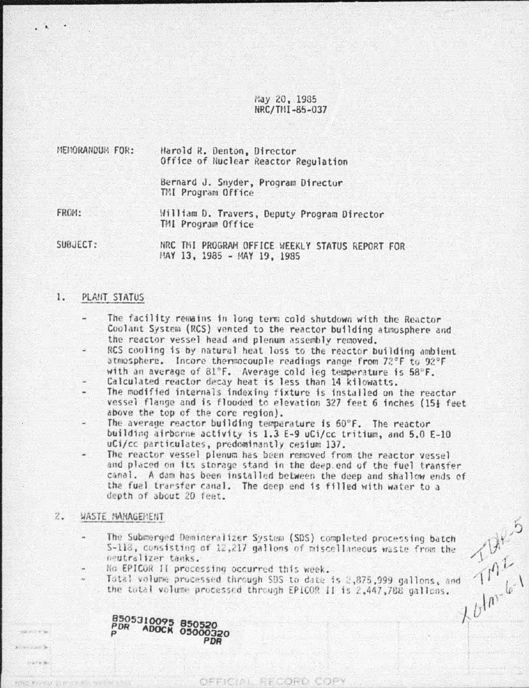# May 20, 1985 NRC/THI-85-037

| MENORANDUM FOR: | Harold R. Denton, Director |  |  |                                      |  |
|-----------------|----------------------------|--|--|--------------------------------------|--|
|                 |                            |  |  | Office of Nuclear Reactor Regulation |  |

Bernard J. Snyder, Program Director TMI Program Office

FROM: William D. Travers, Deputy Program Director TMI Program Office

SUBJECT:

NRC THI PROGRAM OFFICE WEEKLY STATUS REPORT FOR MAY 13, 1985 - MAY 19, 1985

#### 1. PLANT STATUS

- The facility remains in long term cold shutdown with the Reactor Coolant System (RCS) vented to the reactor building atmosphere and the reactor vessel head and plenum assembly removed.
- RCS cooling is by natural heat loss to the reactor building ambient atmosphere. Incore thermocouple readings range from 72°F to 92°F with an average of 81°F. Average cold leg temperature is 58°F.
- Calculated reactor decay heat is less than 14 kilowatts.
- The modified internals indexing fixture is installed on the reactor vessel flange and is flooded to elevation 327 feet 6 inches (15} feet above the top of the core region).
- The average reactor building temperature is 60°F. The reactor building airborne activity is 1.3 E-9 uCi/cc tritium, and 5.0 E-10 uCi/cc particulates, predominantly cesium 137.
- The reactor vessel plenum has been removed from the reactor vessel and placed on its storage stand in the deep end of the fuel transfer canal. A dam has been installed between the deep and shallow ends of the fuel transfer canal. The deep end is filled with water to a depth of about 20 feet.

#### $z.$ WASTE MANAGEMENT

 $-272.8$ 

- and  $\frac{10^{13}}{10^{11}}$ The Submerged Demineralizer System (SDS) completed processing batch S-118, consisting of 12,217 gallons of miscellaneous waste from the neutralizer tanks.
- No EPICOR II processing occurred this week.

PDR

8505310095 850520<br>PDR ADOCK 05000320

Total volume processed through SDS to date is 2,875,999 gallons, and . the total volume processed through EPICOR II is 2,447,788 gallons.

OFFICIAL RECORD COPY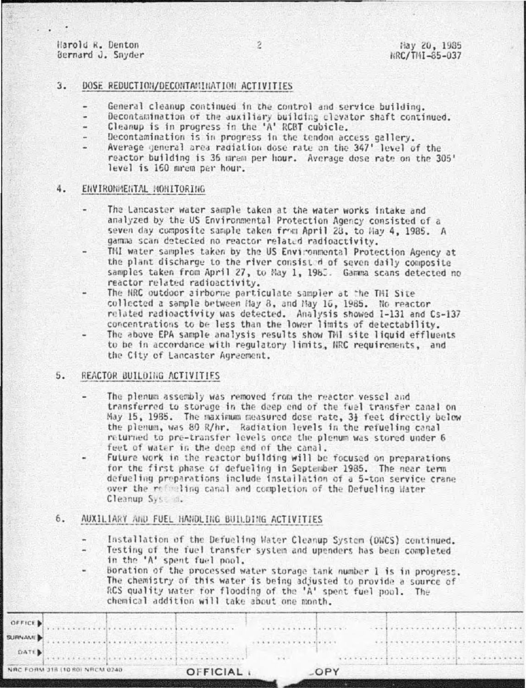Harold R. Denton Bernard J. Snyder

## $3.$ DOSE REDUCTION/DECONTAMINATION ACTIVITIES

- General cleanup continued in the control and service building.
- Decontamination of the auxiliary building clevator shaft continued.
- Cleanup is in progress in the 'A' RCBT cubicle.
- Decontamination is in progress in the tendon access gallery.
- Average general area radiation dose rate on the 347' level of the reactor building is 36 mram per hour. Average dose rate on the 305' level is 160 mrem per hour.

#### 4. ENVIRONMENTAL MONITORING

- The Lancaster water sample taken at the water works intake and analyzed by the US Environmental Protection Agency consisted of a seven day composite sample taken from April 28, to Hay 4, 1985. A gamma scan detected no reactor related radioactivity.
- THI water samples taken by the US Environmental Protection Agency at the plant discharge to the river consist d of seven daily composite samples taken from April 27, to May 1, 1965. Gamma scans detected no reactor related radioactivity.
- The HRC outdoor airborne particulate sampler at the THI Site collected a sample between May 8, and May 16, 1985. No reactor related radioactivity was detected. Analysis showed 1-131 and Cs-137 concentrations to be less than the lower limits of detectability.
- The above EPA sample analysis results show TMI site liquid effluents to be in accordance with regulatory limits, NRC requirements, and the City of Lancaster Agreement.

### $5.$ REACTOR BUILDING ACTIVITIES

- The plenum assembly was removed from the reactor vessel and transferred to storage in the deep end of the fuel transfer canal on May 15, 1985. The maximum measured dose rate, 3} feet directly below the plenum, was 80 R/hr. Radiation levels in the refueling canal returned to pre-transfer levels once the plenum was stored under 6 feet of water in the deep end of the canal.
- Future work in the reactor building will be focused on preparations for the first phase of defueling in September 1985. The near term defueling preparations include installation of a 5-ton service crane over the reflecting canal and completion of the Defueling Hater Cleanup System.

### 6. AUXILIARY AND FUEL HANDLING BUILDING ACTIVITIES

- Installation of the Defueling Water Cleanup System (DWCS) continued.
- Testing of the fuel transfer system and upenders has been completed in the 'A' spent fuel pool.

Boration of the processed water storage tank number 1 is in progress. The chemistry of this water is being adjusted to provide a source of RCS quality water for flooding of the 'A' spent fuel pool. The chemical addition will take about one month.

|             | NRC FORM 318 (10.80) NRCM 0240 | OFFICIAL I |          | OPY |                          |  |
|-------------|--------------------------------|------------|----------|-----|--------------------------|--|
| <b>DATE</b> |                                |            | $9.14 -$ |     |                          |  |
|             |                                |            |          |     | ************************ |  |
| OFFICE      |                                |            |          |     |                          |  |